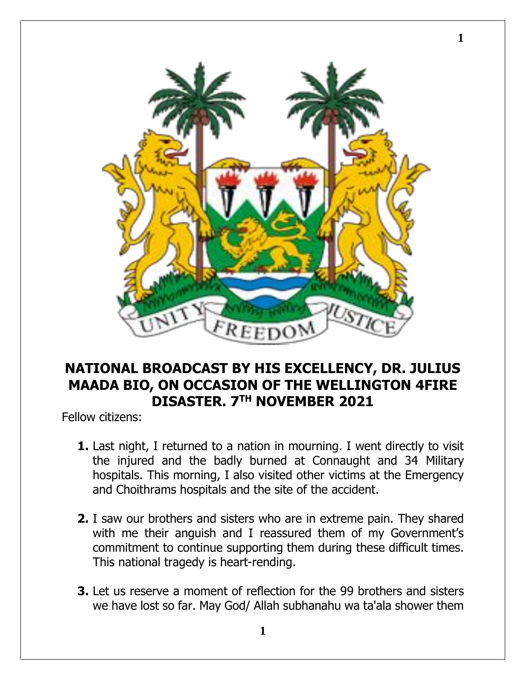

**1**

## **NATIONAL BROADCAST BY HIS EXCELLENCY, DR. JULIUS MAADA BIO, ON OCCASION OF THE WELLINGTON 4FIRE DISASTER. 7TH NOVEMBER 2021**

Fellow citizens:

- **1.** Last night, I returned to a nation in mourning. I went directly to visit the injured and the badly burned at Connaught and 34 Military hospitals. This morning, I also visited other victims at the Emergency and Choithrams hospitals and the site of the accident.
- **2.** I saw our brothers and sisters who are in extreme pain. They shared with me their anguish and I reassured them of my Government's commitment to continue supporting them during these difficult times. This national tragedy is heart-rending.
- **3.** Let us reserve a moment of reflection for the 99 brothers and sisters we have lost so far. May God/ Allah subhanahu wa ta'ala shower them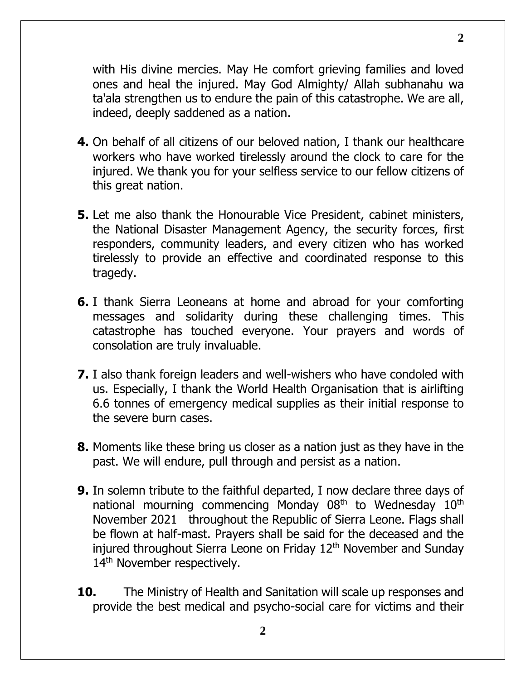with His divine mercies. May He comfort grieving families and loved ones and heal the injured. May God Almighty/ Allah subhanahu wa ta'ala strengthen us to endure the pain of this catastrophe. We are all, indeed, deeply saddened as a nation.

- **4.** On behalf of all citizens of our beloved nation, I thank our healthcare workers who have worked tirelessly around the clock to care for the injured. We thank you for your selfless service to our fellow citizens of this great nation.
- **5.** Let me also thank the Honourable Vice President, cabinet ministers, the National Disaster Management Agency, the security forces, first responders, community leaders, and every citizen who has worked tirelessly to provide an effective and coordinated response to this tragedy.
- **6.** I thank Sierra Leoneans at home and abroad for your comforting messages and solidarity during these challenging times. This catastrophe has touched everyone. Your prayers and words of consolation are truly invaluable.
- **7.** I also thank foreign leaders and well-wishers who have condoled with us. Especially, I thank the World Health Organisation that is airlifting 6.6 tonnes of emergency medical supplies as their initial response to the severe burn cases.
- **8.** Moments like these bring us closer as a nation just as they have in the past. We will endure, pull through and persist as a nation.
- **9.** In solemn tribute to the faithful departed, I now declare three days of national mourning commencing Monday 08<sup>th</sup> to Wednesday 10<sup>th</sup> November 2021 throughout the Republic of Sierra Leone. Flags shall be flown at half-mast. Prayers shall be said for the deceased and the injured throughout Sierra Leone on Friday 12<sup>th</sup> November and Sunday 14<sup>th</sup> November respectively.
- **10.** The Ministry of Health and Sanitation will scale up responses and provide the best medical and psycho-social care for victims and their